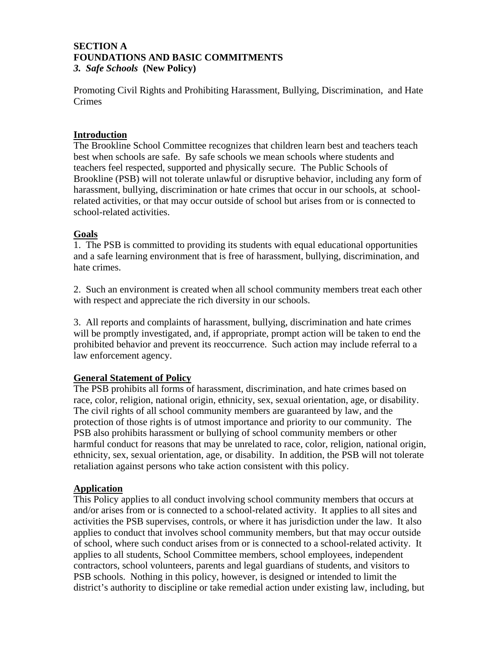#### **SECTION A FOUNDATIONS AND BASIC COMMITMENTS**  *3. Safe Schools* **(New Policy)**

Promoting Civil Rights and Prohibiting Harassment, Bullying, Discrimination, and Hate Crimes

## **Introduction**

The Brookline School Committee recognizes that children learn best and teachers teach best when schools are safe. By safe schools we mean schools where students and teachers feel respected, supported and physically secure. The Public Schools of Brookline (PSB) will not tolerate unlawful or disruptive behavior, including any form of harassment, bullying, discrimination or hate crimes that occur in our schools, at schoolrelated activities, or that may occur outside of school but arises from or is connected to school-related activities.

### **Goals**

1. The PSB is committed to providing its students with equal educational opportunities and a safe learning environment that is free of harassment, bullying, discrimination, and hate crimes.

2. Such an environment is created when all school community members treat each other with respect and appreciate the rich diversity in our schools.

3. All reports and complaints of harassment, bullying, discrimination and hate crimes will be promptly investigated, and, if appropriate, prompt action will be taken to end the prohibited behavior and prevent its reoccurrence. Such action may include referral to a law enforcement agency.

### **General Statement of Policy**

The PSB prohibits all forms of harassment, discrimination, and hate crimes based on race, color, religion, national origin, ethnicity, sex, sexual orientation, age, or disability. The civil rights of all school community members are guaranteed by law, and the protection of those rights is of utmost importance and priority to our community. The PSB also prohibits harassment or bullying of school community members or other harmful conduct for reasons that may be unrelated to race, color, religion, national origin, ethnicity, sex, sexual orientation, age, or disability. In addition, the PSB will not tolerate retaliation against persons who take action consistent with this policy.

### **Application**

This Policy applies to all conduct involving school community members that occurs at and/or arises from or is connected to a school-related activity. It applies to all sites and activities the PSB supervises, controls, or where it has jurisdiction under the law. It also applies to conduct that involves school community members, but that may occur outside of school, where such conduct arises from or is connected to a school-related activity. It applies to all students, School Committee members, school employees, independent contractors, school volunteers, parents and legal guardians of students, and visitors to PSB schools. Nothing in this policy, however, is designed or intended to limit the district's authority to discipline or take remedial action under existing law, including, but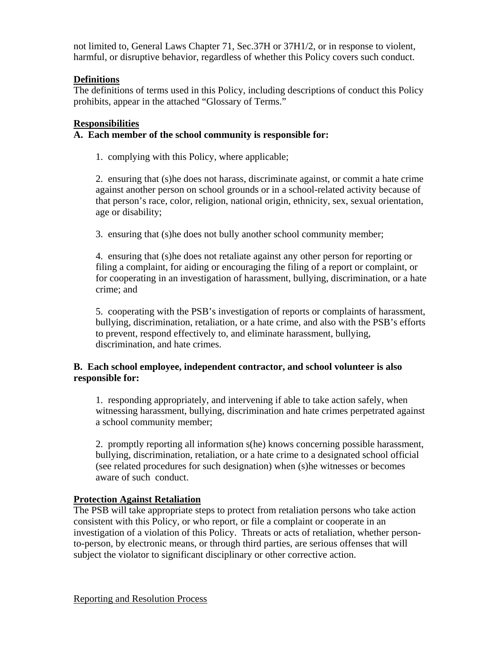not limited to, General Laws Chapter 71, Sec.37H or 37H1/2, or in response to violent, harmful, or disruptive behavior, regardless of whether this Policy covers such conduct.

# **Definitions**

The definitions of terms used in this Policy, including descriptions of conduct this Policy prohibits, appear in the attached "Glossary of Terms."

### **Responsibilities**

## **A. Each member of the school community is responsible for:**

1. complying with this Policy, where applicable;

2. ensuring that (s)he does not harass, discriminate against, or commit a hate crime against another person on school grounds or in a school-related activity because of that person's race, color, religion, national origin, ethnicity, sex, sexual orientation, age or disability;

3. ensuring that (s)he does not bully another school community member;

4. ensuring that (s)he does not retaliate against any other person for reporting or filing a complaint, for aiding or encouraging the filing of a report or complaint, or for cooperating in an investigation of harassment, bullying, discrimination, or a hate crime; and

5. cooperating with the PSB's investigation of reports or complaints of harassment, bullying, discrimination, retaliation, or a hate crime, and also with the PSB's efforts to prevent, respond effectively to, and eliminate harassment, bullying, discrimination, and hate crimes.

## **B. Each school employee, independent contractor, and school volunteer is also responsible for:**

1. responding appropriately, and intervening if able to take action safely, when witnessing harassment, bullying, discrimination and hate crimes perpetrated against a school community member;

2. promptly reporting all information s(he) knows concerning possible harassment, bullying, discrimination, retaliation, or a hate crime to a designated school official (see related procedures for such designation) when (s)he witnesses or becomes aware of such conduct.

# **Protection Against Retaliation**

The PSB will take appropriate steps to protect from retaliation persons who take action consistent with this Policy, or who report, or file a complaint or cooperate in an investigation of a violation of this Policy. Threats or acts of retaliation, whether personto-person, by electronic means, or through third parties, are serious offenses that will subject the violator to significant disciplinary or other corrective action.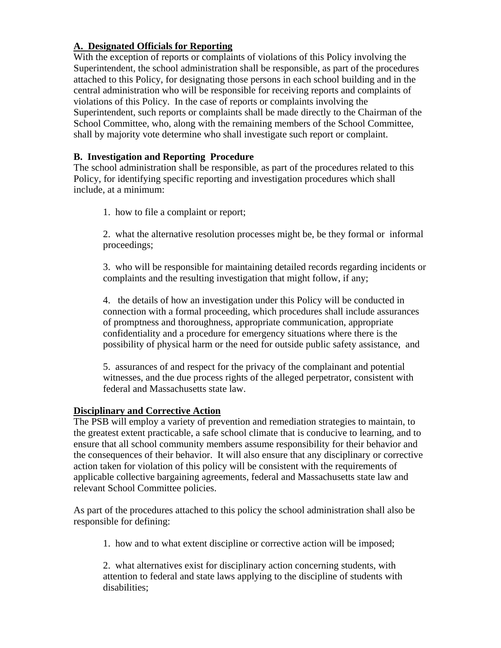# **A. Designated Officials for Reporting**

With the exception of reports or complaints of violations of this Policy involving the Superintendent, the school administration shall be responsible, as part of the procedures attached to this Policy, for designating those persons in each school building and in the central administration who will be responsible for receiving reports and complaints of violations of this Policy. In the case of reports or complaints involving the Superintendent, such reports or complaints shall be made directly to the Chairman of the School Committee, who, along with the remaining members of the School Committee, shall by majority vote determine who shall investigate such report or complaint.

# **B. Investigation and Reporting Procedure**

The school administration shall be responsible, as part of the procedures related to this Policy, for identifying specific reporting and investigation procedures which shall include, at a minimum:

1. how to file a complaint or report;

2. what the alternative resolution processes might be, be they formal or informal proceedings;

3. who will be responsible for maintaining detailed records regarding incidents or complaints and the resulting investigation that might follow, if any;

4. the details of how an investigation under this Policy will be conducted in connection with a formal proceeding, which procedures shall include assurances of promptness and thoroughness, appropriate communication, appropriate confidentiality and a procedure for emergency situations where there is the possibility of physical harm or the need for outside public safety assistance, and

5. assurances of and respect for the privacy of the complainant and potential witnesses, and the due process rights of the alleged perpetrator, consistent with federal and Massachusetts state law.

### **Disciplinary and Corrective Action**

The PSB will employ a variety of prevention and remediation strategies to maintain, to the greatest extent practicable, a safe school climate that is conducive to learning, and to ensure that all school community members assume responsibility for their behavior and the consequences of their behavior. It will also ensure that any disciplinary or corrective action taken for violation of this policy will be consistent with the requirements of applicable collective bargaining agreements, federal and Massachusetts state law and relevant School Committee policies.

As part of the procedures attached to this policy the school administration shall also be responsible for defining:

1. how and to what extent discipline or corrective action will be imposed;

2. what alternatives exist for disciplinary action concerning students, with attention to federal and state laws applying to the discipline of students with disabilities;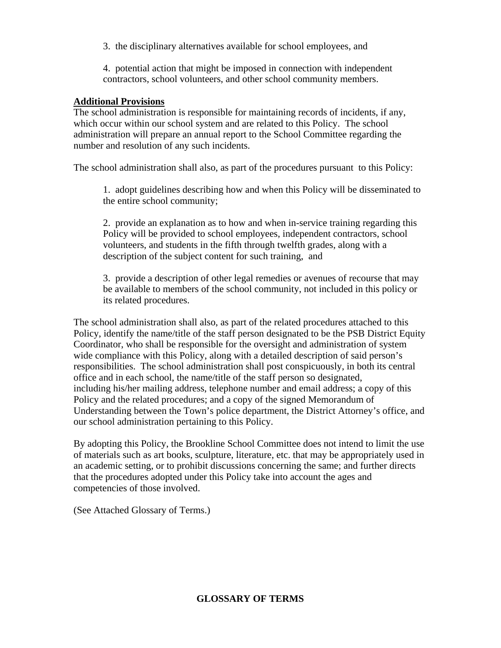3. the disciplinary alternatives available for school employees, and

4. potential action that might be imposed in connection with independent contractors, school volunteers, and other school community members.

## **Additional Provisions**

The school administration is responsible for maintaining records of incidents, if any, which occur within our school system and are related to this Policy. The school administration will prepare an annual report to the School Committee regarding the number and resolution of any such incidents.

The school administration shall also, as part of the procedures pursuant to this Policy:

1. adopt guidelines describing how and when this Policy will be disseminated to the entire school community;

 2. provide an explanation as to how and when in-service training regarding this Policy will be provided to school employees, independent contractors, school volunteers, and students in the fifth through twelfth grades, along with a description of the subject content for such training, and

3. provide a description of other legal remedies or avenues of recourse that may be available to members of the school community, not included in this policy or its related procedures.

The school administration shall also, as part of the related procedures attached to this Policy, identify the name/title of the staff person designated to be the PSB District Equity Coordinator, who shall be responsible for the oversight and administration of system wide compliance with this Policy, along with a detailed description of said person's responsibilities. The school administration shall post conspicuously, in both its central office and in each school, the name/title of the staff person so designated, including his/her mailing address, telephone number and email address; a copy of this Policy and the related procedures; and a copy of the signed Memorandum of Understanding between the Town's police department, the District Attorney's office, and our school administration pertaining to this Policy.

By adopting this Policy, the Brookline School Committee does not intend to limit the use of materials such as art books, sculpture, literature, etc. that may be appropriately used in an academic setting, or to prohibit discussions concerning the same; and further directs that the procedures adopted under this Policy take into account the ages and competencies of those involved.

(See Attached Glossary of Terms.)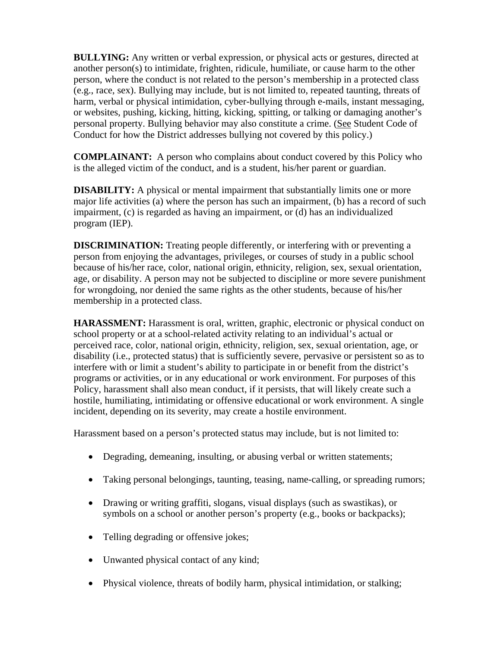**BULLYING:** Any written or verbal expression, or physical acts or gestures, directed at another person(s) to intimidate, frighten, ridicule, humiliate, or cause harm to the other person, where the conduct is not related to the person's membership in a protected class (e.g., race, sex). Bullying may include, but is not limited to, repeated taunting, threats of harm, verbal or physical intimidation, cyber-bullying through e-mails, instant messaging, or websites, pushing, kicking, hitting, kicking, spitting, or talking or damaging another's personal property. Bullying behavior may also constitute a crime. (See Student Code of Conduct for how the District addresses bullying not covered by this policy.)

**COMPLAINANT:** A person who complains about conduct covered by this Policy who is the alleged victim of the conduct, and is a student, his/her parent or guardian.

**DISABILITY:** A physical or mental impairment that substantially limits one or more major life activities (a) where the person has such an impairment, (b) has a record of such impairment, (c) is regarded as having an impairment, or (d) has an individualized program (IEP).

**DISCRIMINATION:** Treating people differently, or interfering with or preventing a person from enjoying the advantages, privileges, or courses of study in a public school because of his/her race, color, national origin, ethnicity, religion, sex, sexual orientation, age, or disability. A person may not be subjected to discipline or more severe punishment for wrongdoing, nor denied the same rights as the other students, because of his/her membership in a protected class.

**HARASSMENT:** Harassment is oral, written, graphic, electronic or physical conduct on school property or at a school-related activity relating to an individual's actual or perceived race, color, national origin, ethnicity, religion, sex, sexual orientation, age, or disability (i.e., protected status) that is sufficiently severe, pervasive or persistent so as to interfere with or limit a student's ability to participate in or benefit from the district's programs or activities, or in any educational or work environment. For purposes of this Policy, harassment shall also mean conduct, if it persists, that will likely create such a hostile, humiliating, intimidating or offensive educational or work environment. A single incident, depending on its severity, may create a hostile environment.

Harassment based on a person's protected status may include, but is not limited to:

- Degrading, demeaning, insulting, or abusing verbal or written statements;
- Taking personal belongings, taunting, teasing, name-calling, or spreading rumors;
- Drawing or writing graffiti, slogans, visual displays (such as swastikas), or symbols on a school or another person's property (e.g., books or backpacks);
- Telling degrading or offensive jokes;
- Unwanted physical contact of any kind;
- Physical violence, threats of bodily harm, physical intimidation, or stalking;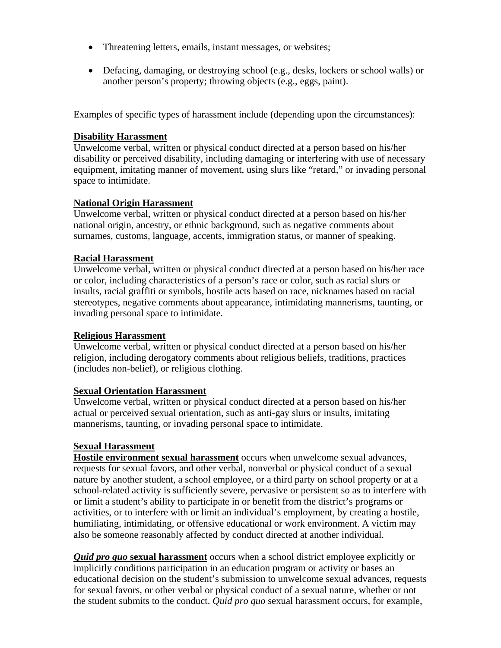- Threatening letters, emails, instant messages, or websites;
- Defacing, damaging, or destroying school (e.g., desks, lockers or school walls) or another person's property; throwing objects (e.g., eggs, paint).

Examples of specific types of harassment include (depending upon the circumstances):

## **Disability Harassment**

Unwelcome verbal, written or physical conduct directed at a person based on his/her disability or perceived disability, including damaging or interfering with use of necessary equipment, imitating manner of movement, using slurs like "retard," or invading personal space to intimidate.

## **National Origin Harassment**

Unwelcome verbal, written or physical conduct directed at a person based on his/her national origin, ancestry, or ethnic background, such as negative comments about surnames, customs, language, accents, immigration status, or manner of speaking.

## **Racial Harassment**

Unwelcome verbal, written or physical conduct directed at a person based on his/her race or color, including characteristics of a person's race or color, such as racial slurs or insults, racial graffiti or symbols, hostile acts based on race, nicknames based on racial stereotypes, negative comments about appearance, intimidating mannerisms, taunting, or invading personal space to intimidate.

# **Religious Harassment**

Unwelcome verbal, written or physical conduct directed at a person based on his/her religion, including derogatory comments about religious beliefs, traditions, practices (includes non-belief), or religious clothing.

### **Sexual Orientation Harassment**

Unwelcome verbal, written or physical conduct directed at a person based on his/her actual or perceived sexual orientation, such as anti-gay slurs or insults, imitating mannerisms, taunting, or invading personal space to intimidate.

# **Sexual Harassment**

**Hostile environment sexual harassment** occurs when unwelcome sexual advances, requests for sexual favors, and other verbal, nonverbal or physical conduct of a sexual nature by another student, a school employee, or a third party on school property or at a school-related activity is sufficiently severe, pervasive or persistent so as to interfere with or limit a student's ability to participate in or benefit from the district's programs or activities, or to interfere with or limit an individual's employment, by creating a hostile, humiliating, intimidating, or offensive educational or work environment. A victim may also be someone reasonably affected by conduct directed at another individual.

*Quid pro quo* **sexual harassment** occurs when a school district employee explicitly or implicitly conditions participation in an education program or activity or bases an educational decision on the student's submission to unwelcome sexual advances, requests for sexual favors, or other verbal or physical conduct of a sexual nature, whether or not the student submits to the conduct. *Quid pro quo* sexual harassment occurs, for example,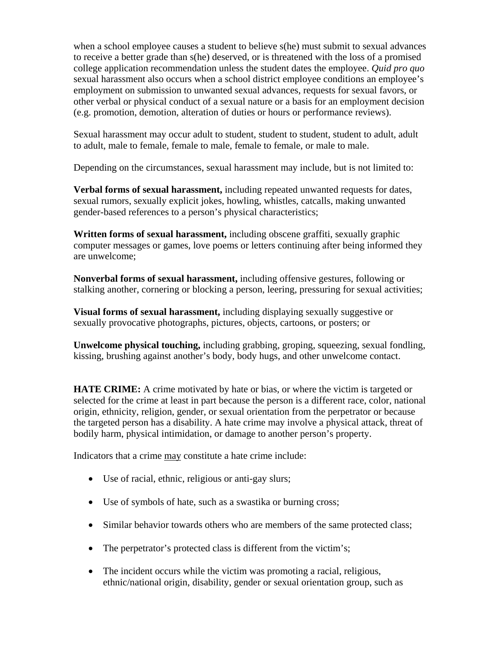when a school employee causes a student to believe s(he) must submit to sexual advances to receive a better grade than s(he) deserved, or is threatened with the loss of a promised college application recommendation unless the student dates the employee. *Quid pro quo* sexual harassment also occurs when a school district employee conditions an employee's employment on submission to unwanted sexual advances, requests for sexual favors, or other verbal or physical conduct of a sexual nature or a basis for an employment decision (e.g. promotion, demotion, alteration of duties or hours or performance reviews).

Sexual harassment may occur adult to student, student to student, student to adult, adult to adult, male to female, female to male, female to female, or male to male.

Depending on the circumstances, sexual harassment may include, but is not limited to:

**Verbal forms of sexual harassment,** including repeated unwanted requests for dates, sexual rumors, sexually explicit jokes, howling, whistles, catcalls, making unwanted gender-based references to a person's physical characteristics;

**Written forms of sexual harassment,** including obscene graffiti, sexually graphic computer messages or games, love poems or letters continuing after being informed they are unwelcome;

**Nonverbal forms of sexual harassment,** including offensive gestures, following or stalking another, cornering or blocking a person, leering, pressuring for sexual activities;

**Visual forms of sexual harassment,** including displaying sexually suggestive or sexually provocative photographs, pictures, objects, cartoons, or posters; or

**Unwelcome physical touching,** including grabbing, groping, squeezing, sexual fondling, kissing, brushing against another's body, body hugs, and other unwelcome contact.

**HATE CRIME:** A crime motivated by hate or bias, or where the victim is targeted or selected for the crime at least in part because the person is a different race, color, national origin, ethnicity, religion, gender, or sexual orientation from the perpetrator or because the targeted person has a disability. A hate crime may involve a physical attack, threat of bodily harm, physical intimidation, or damage to another person's property.

Indicators that a crime may constitute a hate crime include:

- Use of racial, ethnic, religious or anti-gay slurs;
- Use of symbols of hate, such as a swastika or burning cross;
- Similar behavior towards others who are members of the same protected class;
- The perpetrator's protected class is different from the victim's;
- The incident occurs while the victim was promoting a racial, religious, ethnic/national origin, disability, gender or sexual orientation group, such as